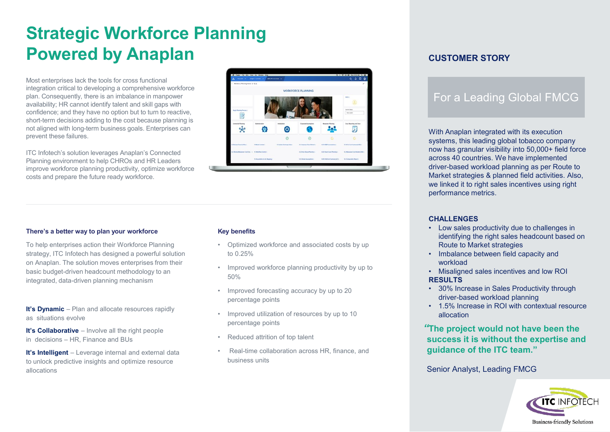# **Strategic Workforce Planning Powered by Anaplan**

Most enterprises lack the tools for cross functional integration critical to developing a comprehensive workforce plan. Consequently, there is an imbalance in manpower availability; HR cannot identify talent and skill gaps with confidence; and they have no option but to turn to reactive, short-term decisions adding to the cost because planning is not aligned with long-term business goals. Enterprises can prevent these failures.

ITC Infotech's solution leverages Anaplan's Connected Planning environment to help CHROs and HR Leaders improve workforce planning productivity, optimize workforce costs and prepare the future ready workforce.



#### **There's a better way to plan your workforce**

To help enterprises action their Workforce Planning strategy, ITC Infotech has designed a powerful solution on Anaplan. The solution moves enterprises from their basic budget-driven headcount methodology to an integrated, data-driven planning mechanism

**It's Dynamic** – Plan and allocate resources rapidly as situations evolve

**It's Collaborative** – Involve all the right people in decisions – HR, Finance and BUs

**It's Intelligent** – Leverage internal and external data to unlock predictive insights and optimize resource allocations

#### **Key benefits**

- Optimized workforce and associated costs by up to 0.25%
- Improved workforce planning productivity by up to 50%
- Improved forecasting accuracy by up to 20 percentage points
- Improved utilization of resources by up to 10 percentage points
- Reduced attrition of top talent
- Real-time collaboration across HR, finance, and business units

### **CUSTOMER STORY**

## For a Leading Global FMCG

With Anaplan integrated with its execution systems, this leading global tobacco company now has granular visibility into 50,000+ field force across 40 countries. We have implemented driver-based workload planning as per Route to Market strategies & planned field activities. Also, we linked it to right sales incentives using right performance metrics.

#### **CHALLENGES**

- Low sales productivity due to challenges in identifying the right sales headcount based on Route to Market strategies
- Imbalance between field capacity and workload
- Misaligned sales incentives and low ROI **RESULTS**
- 30% Increase in Sales Productivity through driver-based workload planning
- 1.5% Increase in ROI with contextual resource allocation

### *"***The project would not have been the success it is without the expertise and guidance of the ITC team."**

Senior Analyst, Leading FMCG